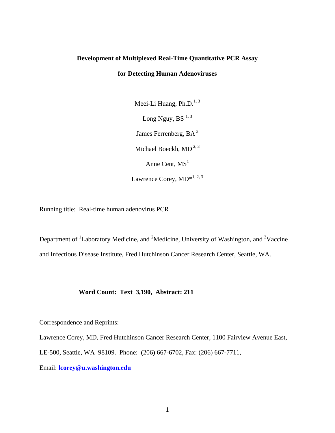# **Development of Multiplexed Real-Time Quantitative PCR Assay for Detecting Human Adenoviruses**

Meei-Li Huang, Ph.D. $^{1,3}$ Long Nguy, BS $^{1, 3}$ James Ferrenberg, BA<sup>3</sup> Michael Boeckh,  $MD<sup>2, 3</sup>$ Anne Cent,  $MS<sup>1</sup>$ Lawrence Corey,  $MD*^{1, 2, 3}$ 

Running title: Real-time human adenovirus PCR

Department of <sup>1</sup>Laboratory Medicine, and <sup>2</sup>Medicine, University of Washington, and <sup>3</sup>Vaccine and Infectious Disease Institute, Fred Hutchinson Cancer Research Center, Seattle, WA.

### **Word Count: Text 3,190, Abstract: 211**

Correspondence and Reprints:

Lawrence Corey, MD, Fred Hutchinson Cancer Research Center, 1100 Fairview Avenue East,

LE-500, Seattle, WA 98109. Phone: (206) 667-6702, Fax: (206) 667-7711,

Email: **[lcorey@u.washingto](mailto:lcorey@u.washington.edu)n.edu**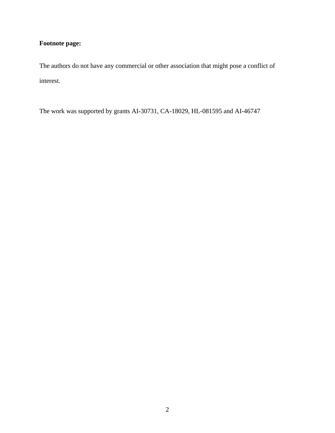## **Footnote page:**

The authors do not have any commercial or other association that might pose a conflict of interest.

The work was supported by grants AI-30731, CA-18029, HL-081595 and AI-46747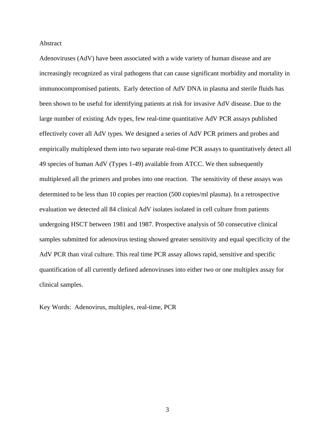#### Abstract

Adenoviruses (AdV) have been associated with a wide variety of human disease and are increasingly recognized as viral pathogens that can cause significant morbidity and mortality in immunocompromised patients. Early detection of AdV DNA in plasma and sterile fluids has been shown to be useful for identifying patients at risk for invasive AdV disease. Due to the large number of existing Adv types, few real-time quantitative AdV PCR assays published effectively cover all AdV types. We designed a series of AdV PCR primers and probes and empirically multiplexed them into two separate real-time PCR assays to quantitatively detect all 49 species of human AdV (Types 1-49) available from ATCC. We then subsequently multiplexed all the primers and probes into one reaction. The sensitivity of these assays was determined to be less than 10 copies per reaction (500 copies/ml plasma). In a retrospective evaluation we detected all 84 clinical AdV isolates isolated in cell culture from patients undergoing HSCT between 1981 and 1987. Prospective analysis of 50 consecutive clinical samples submitted for adenovirus testing showed greater sensitivity and equal specificity of the AdV PCR than viral culture. This real time PCR assay allows rapid, sensitive and specific quantification of all currently defined adenoviruses into either two or one multiplex assay for clinical samples.

Key Words: Adenovirus, multiplex, real-time, PCR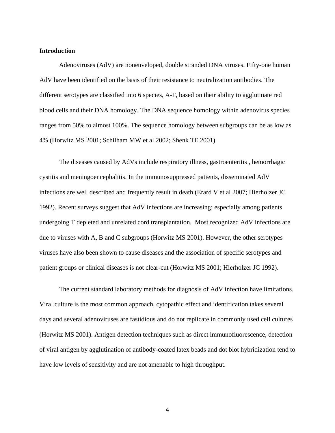#### **Introduction**

Adenoviruses (AdV) are nonenveloped, double stranded DNA viruses. Fifty-one human AdV have been identified on the basis of their resistance to neutralization antibodies. The different serotypes are classified into 6 species, A-F, based on their ability to agglutinate red blood cells and their DNA homology. The DNA sequence homology within adenovirus species ranges from 50% to almost 100%. The sequence homology between subgroups can be as low as 4% (Horwitz MS 2001; Schilham MW et al 2002; Shenk TE 2001)

The diseases caused by AdVs include respiratory illness, gastroenteritis , hemorrhagic cystitis and meningoencephalitis. In the immunosuppressed patients, disseminated AdV infections are well described and frequently result in death (Erard V et al 2007; Hierholzer JC 1992). Recent surveys suggest that AdV infections are increasing; especially among patients undergoing T depleted and unrelated cord transplantation. Most recognized AdV infections are due to viruses with A, B and C subgroups (Horwitz MS 2001). However, the other serotypes viruses have also been shown to cause diseases and the association of specific serotypes and patient groups or clinical diseases is not clear-cut (Horwitz MS 2001; Hierholzer JC 1992).

The current standard laboratory methods for diagnosis of AdV infection have limitations. Viral culture is the most common approach, cytopathic effect and identification takes several days and several adenoviruses are fastidious and do not replicate in commonly used cell cultures (Horwitz MS 2001). Antigen detection techniques such as direct immunofluorescence, detection of viral antigen by agglutination of antibody-coated latex beads and dot blot hybridization tend to have low levels of sensitivity and are not amenable to high throughput.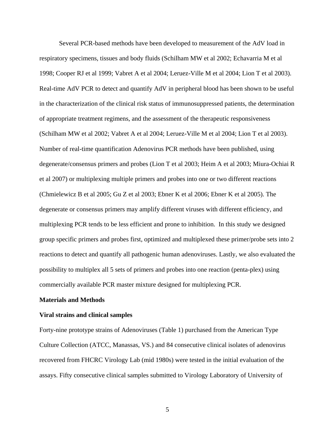Several PCR-based methods have been developed to measurement of the AdV load in respiratory specimens, tissues and body fluids (Schilham MW et al 2002; Echavarria M et al 1998; Cooper RJ et al 1999; Vabret A et al 2004; Leruez-Ville M et al 2004; Lion T et al 2003). Real-time AdV PCR to detect and quantify AdV in peripheral blood has been shown to be useful in the characterization of the clinical risk status of immunosuppressed patients, the determination of appropriate treatment regimens, and the assessment of the therapeutic responsiveness (Schilham MW et al 2002; Vabret A et al 2004; Leruez-Ville M et al 2004; Lion T et al 2003). Number of real-time quantification Adenovirus PCR methods have been published, using degenerate/consensus primers and probes (Lion T et al 2003; Heim A et al 2003; Miura-Ochiai R et al 2007) or multiplexing multiple primers and probes into one or two different reactions (Chmielewicz B et al 2005; Gu Z et al 2003; Ebner K et al 2006; Ebner K et al 2005). The degenerate or consensus primers may amplify different viruses with different efficiency, and multiplexing PCR tends to be less efficient and prone to inhibition. In this study we designed group specific primers and probes first, optimized and multiplexed these primer/probe sets into 2 reactions to detect and quantify all pathogenic human adenoviruses. Lastly, we also evaluated the possibility to multiplex all 5 sets of primers and probes into one reaction (penta-plex) using commercially available PCR master mixture designed for multiplexing PCR.

#### **Materials and Methods**

#### **Viral strains and clinical samples**

Forty-nine prototype strains of Adenoviruses (Table 1) purchased from the American Type Culture Collection (ATCC, Manassas, VS.) and 84 consecutive clinical isolates of adenovirus recovered from FHCRC Virology Lab (mid 1980s) were tested in the initial evaluation of the assays. Fifty consecutive clinical samples submitted to Virology Laboratory of University of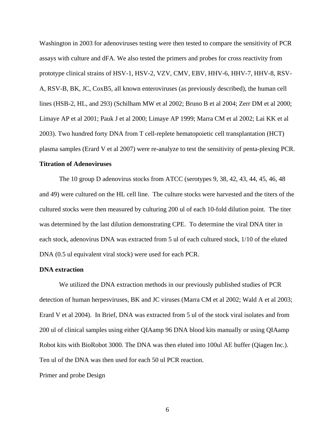Washington in 2003 for adenoviruses testing were then tested to compare the sensitivity of PCR assays with culture and dFA. We also tested the primers and probes for cross reactivity from prototype clinical strains of HSV-1, HSV-2, VZV, CMV, EBV, HHV-6, HHV-7, HHV-8, RSV-A, RSV-B, BK, JC, CoxB5, all known enteroviruses (as previously described), the human cell lines (HSB-2, HL, and 293) (Schilham MW et al 2002; Bruno B et al 2004; Zerr DM et al 2000; Limaye AP et al 2001; Pauk J et al 2000; Limaye AP 1999; Marra CM et al 2002; Lai KK et al 2003). Two hundred forty DNA from T cell-replete hematopoietic cell transplantation (HCT) plasma samples (Erard V et al 2007) were re-analyze to test the sensitivity of penta-plexing PCR.

#### **Titration of Adenoviruses**

The 10 group D adenovirus stocks from ATCC (serotypes 9, 38, 42, 43, 44, 45, 46, 48 and 49) were cultured on the HL cell line. The culture stocks were harvested and the titers of the cultured stocks were then measured by culturing 200 ul of each 10-fold dilution point. The titer was determined by the last dilution demonstrating CPE. To determine the viral DNA titer in each stock, adenovirus DNA was extracted from 5 ul of each cultured stock, 1/10 of the eluted DNA (0.5 ul equivalent viral stock) were used for each PCR.

#### **DNA extraction**

We utilized the DNA extraction methods in our previously published studies of PCR detection of human herpesviruses, BK and JC viruses (Marra CM et al 2002; Wald A et al 2003; Erard V et al 2004). In Brief, DNA was extracted from 5 ul of the stock viral isolates and from 200 ul of clinical samples using either QIAamp 96 DNA blood kits manually or using QIAamp Robot kits with BioRobot 3000. The DNA was then eluted into 100ul AE buffer (Qiagen Inc.). Ten ul of the DNA was then used for each 50 ul PCR reaction.

Primer and probe Design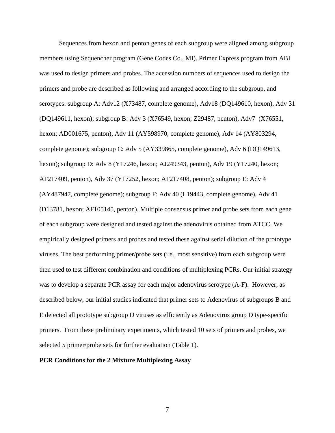Sequences from hexon and penton genes of each subgroup were aligned among subgroup members using Sequencher program (Gene Codes Co., MI). Primer Express program from ABI was used to design primers and probes. The accession numbers of sequences used to design the primers and probe are described as following and arranged according to the subgroup, and serotypes: subgroup A: Adv12 (X73487, complete genome), Adv18 (DQ149610, hexon), Adv 31 (DQ149611, hexon); subgroup B: Adv 3 (X76549, hexon; Z29487, penton), Adv7 (X76551, hexon; AD001675, penton), Adv 11 (AY598970, complete genome), Adv 14 (AY803294, complete genome); subgroup C: Adv 5 (AY339865, complete genome), Adv 6 (DQ149613, hexon); subgroup D: Adv 8 (Y17246, hexon; AJ249343, penton), Adv 19 (Y17240, hexon; AF217409, penton), Adv 37 (Y17252, hexon; AF217408, penton); subgroup E: Adv 4 (AY487947, complete genome); subgroup F: Adv 40 (L19443, complete genome), Adv 41 (D13781, hexon; AF105145, penton). Multiple consensus primer and probe sets from each gene of each subgroup were designed and tested against the adenovirus obtained from ATCC. We empirically designed primers and probes and tested these against serial dilution of the prototype viruses. The best performing primer/probe sets (i.e., most sensitive) from each subgroup were then used to test different combination and conditions of multiplexing PCRs. Our initial strategy was to develop a separate PCR assay for each major adenovirus serotype (A-F). However, as described below, our initial studies indicated that primer sets to Adenovirus of subgroups B and E detected all prototype subgroup D viruses as efficiently as Adenovirus group D type-specific primers. From these preliminary experiments, which tested 10 sets of primers and probes, we selected 5 primer/probe sets for further evaluation (Table 1).

#### **PCR Conditions for the 2 Mixture Multiplexing Assay**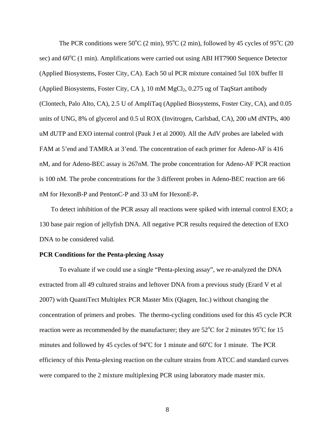The PCR conditions were 50°C (2 min), 95°C (2 min), followed by 45 cycles of 95°C (20 sec) and 60°C (1 min). Amplifications were carried out using ABI HT7900 Sequence Detector (Applied Biosystems, Foster City, CA). Each 50 ul PCR mixture contained 5ul 10X buffer II (Applied Biosystems, Foster City, CA),  $10 \text{ mM } MgCl<sub>2</sub>$ ,  $0.275 \text{ ug } of TaqStart$  antibody (Clontech, Palo Alto, CA), 2.5 U of AmpliTaq (Applied Biosystems, Foster City, CA), and 0.05 units of UNG, 8% of glycerol and 0.5 ul ROX (Invitrogen, Carlsbad, CA), 200 uM dNTPs, 400 uM dUTP and EXO internal control (Pauk J et al 2000). All the AdV probes are labeled with FAM at 5'end and TAMRA at 3'end. The concentration of each primer for Adeno-AF is 416 nM, and for Adeno-BEC assay is 267nM. The probe concentration for Adeno-AF PCR reaction is 100 nM. The probe concentrations for the 3 different probes in Adeno-BEC reaction are 66 nM for HexonB-P and PentonC-P and 33 uM for HexonE-P**.** 

To detect inhibition of the PCR assay all reactions were spiked with internal control EXO; a 130 base pair region of jellyfish DNA. All negative PCR results required the detection of EXO DNA to be considered valid.

#### **PCR Conditions for the Penta-plexing Assay**

To evaluate if we could use a single "Penta-plexing assay", we re-analyzed the DNA extracted from all 49 cultured strains and leftover DNA from a previous study (Erard V et al 2007) with QuantiTect Multiplex PCR Master Mix (Qiagen, Inc.) without changing the concentration of primers and probes. The thermo-cycling conditions used for this 45 cycle PCR reaction were as recommended by the manufacturer; they are  $52^{\circ}$ C for 2 minutes 95<sup>o</sup>C for 15 minutes and followed by 45 cycles of  $94^{\circ}$ C for 1 minute and 60 $^{\circ}$ C for 1 minute. The PCR efficiency of this Penta-plexing reaction on the culture strains from ATCC and standard curves were compared to the 2 mixture multiplexing PCR using laboratory made master mix.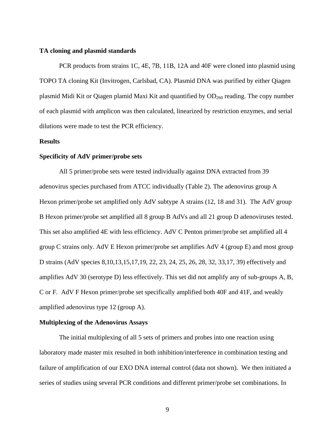#### **TA cloning and plasmid standards**

PCR products from strains 1C, 4E, 7B, 11B, 12A and 40F were cloned into plasmid using TOPO TA cloning Kit (Invitrogen, Carlsbad, CA). Plasmid DNA was purified by either Qiagen plasmid Midi Kit or Qiagen plamid Maxi Kit and quantified by  $OD<sub>260</sub>$  reading. The copy number of each plasmid with amplicon was then calculated, linearized by restriction enzymes, and serial dilutions were made to test the PCR efficiency.

#### **Results**

#### **Specificity of AdV primer/probe sets**

All 5 primer/probe sets were tested individually against DNA extracted from 39 adenovirus species purchased from ATCC individually (Table 2). The adenovirus group A Hexon primer/probe set amplified only AdV subtype A strains (12, 18 and 31). The AdV group B Hexon primer/probe set amplified all 8 group B AdVs and all 21 group D adenoviruses tested. This set also amplified 4E with less efficiency. AdV C Penton primer/probe set amplified all 4 group C strains only. AdV E Hexon primer/probe set amplifies AdV 4 (group E) and most group D strains (AdV species 8,10,13,15,17,19, 22, 23, 24, 25, 26, 28, 32, 33,17, 39) effectively and amplifies AdV 30 (serotype D) less effectively. This set did not amplify any of sub-groups A, B, C or F. AdV F Hexon primer/probe set specifically amplified both 40F and 41F, and weakly amplified adenovirus type 12 (group A).

#### **Multiplexing of the Adenovirus Assays**

The initial multiplexing of all 5 sets of primers and probes into one reaction using laboratory made master mix resulted in both inhibition/interference in combination testing and failure of amplification of our EXO DNA internal control (data not shown). We then initiated a series of studies using several PCR conditions and different primer/probe set combinations. In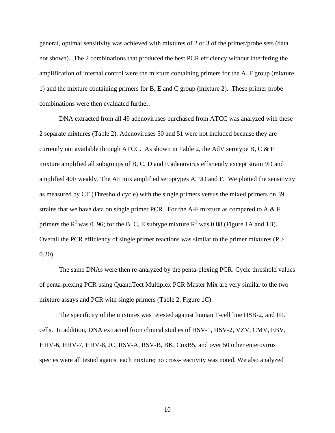general, optimal sensitivity was achieved with mixtures of 2 or 3 of the primer/probe sets (data not shown). The 2 combinations that produced the best PCR efficiency without interfering the amplification of internal control were the mixture containing primers for the A, F group (mixture 1) and the mixture containing primers for B, E and C group (mixture 2). These primer probe combinations were then evaluated further.

DNA extracted from all 49 adenoviruses purchased from ATCC was analyzed with these 2 separate mixtures (Table 2). Adenoviruses 50 and 51 were not included because they are currently not available through ATCC. As shown in Table 2, the AdV serotype B, C  $&E$ mixture amplified all subgroups of B, C, D and E adenovirus efficiently except strain 9D and amplified 40F weakly. The AF mix amplified seroptypes A, 9D and F. We plotted the sensitivity as measured by CT (Threshold cycle) with the single primers versus the mixed primers on 39 strains that we have data on single primer PCR. For the A-F mixture as compared to A  $\&$  F primers the  $R^2$  was 0.96; for the B, C, E subtype mixture  $R^2$  was 0.88 (Figure 1A and 1B). Overall the PCR efficiency of single primer reactions was similar to the primer mixtures ( $P >$ 0.20).

The same DNAs were then re-analyzed by the penta-plexing PCR. Cycle threshold values of penta-plexing PCR using QuantiTect Multiplex PCR Master Mix are very similar to the two mixture assays and PCR with single primers (Table 2, Figure 1C).

The specificity of the mixtures was retested against human T-cell line HSB-2, and HL cells. In addition, DNA extracted from clinical studies of HSV-1, HSV-2, VZV, CMV, EBV, HHV-6, HHV-7, HHV-8, JC, RSV-A, RSV-B, BK, CoxB5, and over 50 other enterovirus species were all tested against each mixture; no cross-reactivity was noted. We also analyzed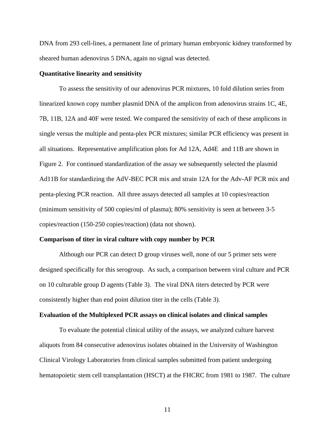DNA from 293 cell-lines, a permanent line of primary human embryonic kidney transformed by sheared human adenovirus 5 DNA, again no signal was detected.

#### **Quantitative linearity and sensitivity**

To assess the sensitivity of our adenovirus PCR mixtures, 10 fold dilution series from linearized known copy number plasmid DNA of the amplicon from adenovirus strains 1C, 4E, 7B, 11B, 12A and 40F were tested. We compared the sensitivity of each of these amplicons in single versus the multiple and penta-plex PCR mixtures; similar PCR efficiency was present in all situations. Representative amplification plots for Ad 12A, Ad4E and 11B are shown in Figure 2. For continued standardization of the assay we subsequently selected the plasmid Ad11B for standardizing the AdV-BEC PCR mix and strain 12A for the Adv-AF PCR mix and penta-plexing PCR reaction. All three assays detected all samples at 10 copies/reaction (minimum sensitivity of 500 copies/ml of plasma); 80% sensitivity is seen at between 3-5 copies/reaction (150-250 copies/reaction) (data not shown).

#### **Comparison of titer in viral culture with copy number by PCR**

Although our PCR can detect D group viruses well, none of our 5 primer sets were designed specifically for this serogroup. As such, a comparison between viral culture and PCR on 10 culturable group D agents (Table 3). The viral DNA titers detected by PCR were consistently higher than end point dilution titer in the cells (Table 3).

#### **Evaluation of the Multiplexed PCR assays on clinical isolates and clinical samples**

To evaluate the potential clinical utility of the assays, we analyzed culture harvest aliquots from 84 consecutive adenovirus isolates obtained in the University of Washington Clinical Virology Laboratories from clinical samples submitted from patient undergoing hematopoietic stem cell transplantation (HSCT) at the FHCRC from 1981 to 1987. The culture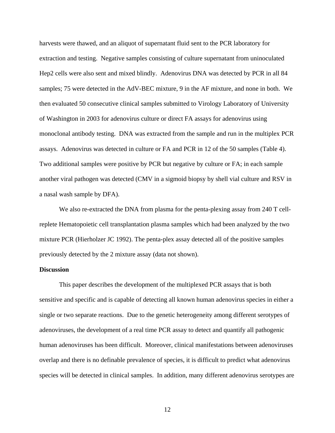harvests were thawed, and an aliquot of supernatant fluid sent to the PCR laboratory for extraction and testing. Negative samples consisting of culture supernatant from uninoculated Hep2 cells were also sent and mixed blindly. Adenovirus DNA was detected by PCR in all 84 samples; 75 were detected in the AdV-BEC mixture, 9 in the AF mixture, and none in both. We then evaluated 50 consecutive clinical samples submitted to Virology Laboratory of University of Washington in 2003 for adenovirus culture or direct FA assays for adenovirus using monoclonal antibody testing. DNA was extracted from the sample and run in the multiplex PCR assays. Adenovirus was detected in culture or FA and PCR in 12 of the 50 samples (Table 4). Two additional samples were positive by PCR but negative by culture or FA; in each sample another viral pathogen was detected (CMV in a sigmoid biopsy by shell vial culture and RSV in a nasal wash sample by DFA).

We also re-extracted the DNA from plasma for the penta-plexing assay from 240 T cellreplete Hematopoietic cell transplantation plasma samples which had been analyzed by the two mixture PCR (Hierholzer JC 1992). The penta-plex assay detected all of the positive samples previously detected by the 2 mixture assay (data not shown).

#### **Discussion**

This paper describes the development of the multiplexed PCR assays that is both sensitive and specific and is capable of detecting all known human adenovirus species in either a single or two separate reactions. Due to the genetic heterogeneity among different serotypes of adenoviruses, the development of a real time PCR assay to detect and quantify all pathogenic human adenoviruses has been difficult. Moreover, clinical manifestations between adenoviruses overlap and there is no definable prevalence of species, it is difficult to predict what adenovirus species will be detected in clinical samples. In addition, many different adenovirus serotypes are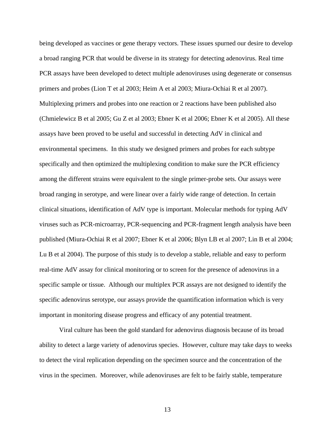being developed as vaccines or gene therapy vectors. These issues spurned our desire to develop a broad ranging PCR that would be diverse in its strategy for detecting adenovirus. Real time PCR assays have been developed to detect multiple adenoviruses using degenerate or consensus primers and probes (Lion T et al 2003; Heim A et al 2003; Miura-Ochiai R et al 2007). Multiplexing primers and probes into one reaction or 2 reactions have been published also (Chmielewicz B et al 2005; Gu Z et al 2003; Ebner K et al 2006; Ebner K et al 2005). All these assays have been proved to be useful and successful in detecting AdV in clinical and environmental specimens. In this study we designed primers and probes for each subtype specifically and then optimized the multiplexing condition to make sure the PCR efficiency among the different strains were equivalent to the single primer-probe sets. Our assays were broad ranging in serotype, and were linear over a fairly wide range of detection. In certain clinical situations, identification of AdV type is important. Molecular methods for typing AdV viruses such as PCR-microarray, PCR-sequencing and PCR-fragment length analysis have been published (Miura-Ochiai R et al 2007; Ebner K et al 2006; Blyn LB et al 2007; Lin B et al 2004; Lu B et al 2004). The purpose of this study is to develop a stable, reliable and easy to perform real-time AdV assay for clinical monitoring or to screen for the presence of adenovirus in a specific sample or tissue. Although our multiplex PCR assays are not designed to identify the specific adenovirus serotype, our assays provide the quantification information which is very important in monitoring disease progress and efficacy of any potential treatment.

Viral culture has been the gold standard for adenovirus diagnosis because of its broad ability to detect a large variety of adenovirus species. However, culture may take days to weeks to detect the viral replication depending on the specimen source and the concentration of the virus in the specimen. Moreover, while adenoviruses are felt to be fairly stable, temperature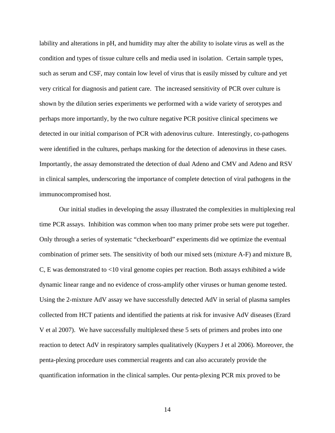lability and alterations in pH, and humidity may alter the ability to isolate virus as well as the condition and types of tissue culture cells and media used in isolation. Certain sample types, such as serum and CSF, may contain low level of virus that is easily missed by culture and yet very critical for diagnosis and patient care. The increased sensitivity of PCR over culture is shown by the dilution series experiments we performed with a wide variety of serotypes and perhaps more importantly, by the two culture negative PCR positive clinical specimens we detected in our initial comparison of PCR with adenovirus culture. Interestingly, co-pathogens were identified in the cultures, perhaps masking for the detection of adenovirus in these cases. Importantly, the assay demonstrated the detection of dual Adeno and CMV and Adeno and RSV in clinical samples, underscoring the importance of complete detection of viral pathogens in the immunocompromised host.

 Our initial studies in developing the assay illustrated the complexities in multiplexing real time PCR assays. Inhibition was common when too many primer probe sets were put together. Only through a series of systematic "checkerboard" experiments did we optimize the eventual combination of primer sets. The sensitivity of both our mixed sets (mixture A-F) and mixture B, C, E was demonstrated to <10 viral genome copies per reaction. Both assays exhibited a wide dynamic linear range and no evidence of cross-amplify other viruses or human genome tested. Using the 2-mixture AdV assay we have successfully detected AdV in serial of plasma samples collected from HCT patients and identified the patients at risk for invasive AdV diseases (Erard V et al 2007). We have successfully multiplexed these 5 sets of primers and probes into one reaction to detect AdV in respiratory samples qualitatively (Kuypers J et al 2006). Moreover, the penta-plexing procedure uses commercial reagents and can also accurately provide the quantification information in the clinical samples. Our penta-plexing PCR mix proved to be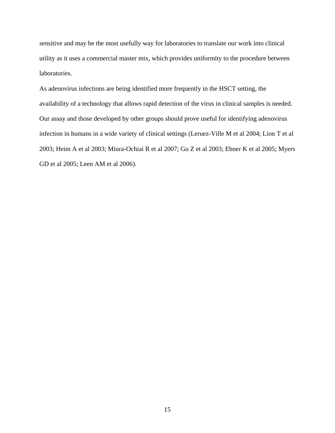sensitive and may be the most usefully way for laboratories to translate our work into clinical utility as it uses a commercial master mix, which provides uniformity to the procedure between laboratories.

As adenovirus infections are being identified more frequently in the HSCT setting, the availability of a technology that allows rapid detection of the virus in clinical samples is needed. Our assay and those developed by other groups should prove useful for identifying adenovirus infection in humans in a wide variety of clinical settings (Leruez-Ville M et al 2004; Lion T et al 2003; Heim A et al 2003; Miura-Ochiai R et al 2007; Gu Z et al 2003; Ebner K et al 2005; Myers GD et al 2005; Leen AM et al 2006).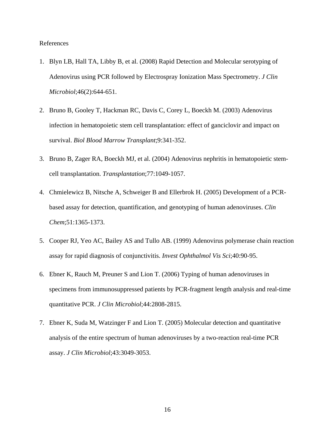#### References

- 1. Blyn LB, Hall TA, Libby B, et al. (2008) Rapid Detection and Molecular serotyping of Adenovirus using PCR followed by Electrospray Ionization Mass Spectrometry. *J Clin Microbiol*;46(2):644-651.
- 2. Bruno B, Gooley T, Hackman RC, Davis C, Corey L, Boeckh M. (2003) Adenovirus infection in hematopoietic stem cell transplantation: effect of ganciclovir and impact on survival. *Biol Blood Marrow Transplant*;9:341-352.
- 3. Bruno B, Zager RA, Boeckh MJ, et al. (2004) Adenovirus nephritis in hematopoietic stemcell transplantation. *Transplantation*;77:1049-1057.
- 4. Chmielewicz B, Nitsche A, Schweiger B and Ellerbrok H. (2005) Development of a PCRbased assay for detection, quantification, and genotyping of human adenoviruses. *Clin Chem*;51:1365-1373.
- 5. Cooper RJ, Yeo AC, Bailey AS and Tullo AB. (1999) Adenovirus polymerase chain reaction assay for rapid diagnosis of conjunctivitis. *Invest Ophthalmol Vis Sci*;40:90-95.
- 6. Ebner K, Rauch M, Preuner S and Lion T. (2006) Typing of human adenoviruses in specimens from immunosuppressed patients by PCR-fragment length analysis and real-time quantitative PCR. *J Clin Microbiol*;44:2808-2815.
- 7. Ebner K, Suda M, Watzinger F and Lion T. (2005) Molecular detection and quantitative analysis of the entire spectrum of human adenoviruses by a two-reaction real-time PCR assay. *J Clin Microbiol*;43:3049-3053.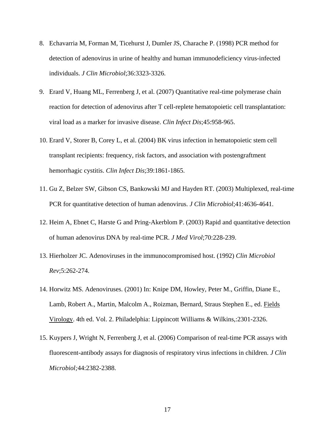- 8. Echavarria M, Forman M, Ticehurst J, Dumler JS, Charache P. (1998) PCR method for detection of adenovirus in urine of healthy and human immunodeficiency virus-infected individuals. *J Clin Microbiol*;36:3323-3326.
- 9. Erard V, Huang ML, Ferrenberg J, et al. (2007) Quantitative real-time polymerase chain reaction for detection of adenovirus after T cell-replete hematopoietic cell transplantation: viral load as a marker for invasive disease. *Clin Infect Dis*;45:958-965.
- 10. Erard V, Storer B, Corey L, et al. (2004) BK virus infection in hematopoietic stem cell transplant recipients: frequency, risk factors, and association with postengraftment hemorrhagic cystitis. *Clin Infect Dis*;39:1861-1865.
- 11. Gu Z, Belzer SW, Gibson CS, Bankowski MJ and Hayden RT. (2003) Multiplexed, real-time PCR for quantitative detection of human adenovirus. *J Clin Microbiol*;41:4636-4641.
- 12. Heim A, Ebnet C, Harste G and Pring-Akerblom P. (2003) Rapid and quantitative detection of human adenovirus DNA by real-time PCR. *J Med Virol*;70:228-239.
- 13. Hierholzer JC. Adenoviruses in the immunocompromised host. (1992) *Clin Microbiol Rev*;5:262-274.
- 14. Horwitz MS. Adenoviruses. (2001) In: Knipe DM, Howley, Peter M., Griffin, Diane E., Lamb, Robert A., Martin, Malcolm A., Roizman, Bernard, Straus Stephen E., ed. Fields Virology. 4th ed. Vol. 2. Philadelphia: Lippincott Williams & Wilkins,:2301-2326.
- 15. Kuypers J, Wright N, Ferrenberg J, et al. (2006) Comparison of real-time PCR assays with fluorescent-antibody assays for diagnosis of respiratory virus infections in children. *J Clin Microbiol;*44:2382-2388.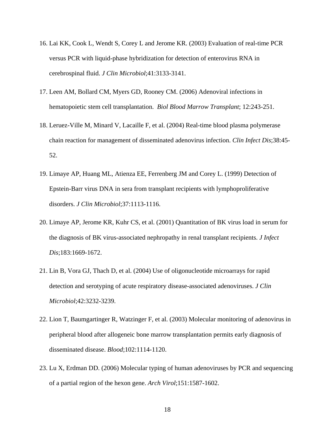- 16. Lai KK, Cook L, Wendt S, Corey L and Jerome KR. (2003) Evaluation of real-time PCR versus PCR with liquid-phase hybridization for detection of enterovirus RNA in cerebrospinal fluid. *J Clin Microbiol*;41:3133-3141.
- 17. Leen AM, Bollard CM, Myers GD, Rooney CM. (2006) Adenoviral infections in hematopoietic stem cell transplantation. *Biol Blood Marrow Transplant*; 12:243-251.
- 18. Leruez-Ville M, Minard V, Lacaille F, et al. (2004) Real-time blood plasma polymerase chain reaction for management of disseminated adenovirus infection. *Clin Infect Dis*;38:45- 52.
- 19. Limaye AP, Huang ML, Atienza EE, Ferrenberg JM and Corey L. (1999) Detection of Epstein-Barr virus DNA in sera from transplant recipients with lymphoproliferative disorders. *J Clin Microbiol*;37:1113-1116.
- 20. Limaye AP, Jerome KR, Kuhr CS, et al. (2001) Quantitation of BK virus load in serum for the diagnosis of BK virus-associated nephropathy in renal transplant recipients. *J Infect Dis*;183:1669-1672.
- 21. Lin B, Vora GJ, Thach D, et al. (2004) Use of oligonucleotide microarrays for rapid detection and serotyping of acute respiratory disease-associated adenoviruses. *J Clin Microbiol*;42:3232-3239.
- 22. Lion T, Baumgartinger R, Watzinger F, et al. (2003) Molecular monitoring of adenovirus in peripheral blood after allogeneic bone marrow transplantation permits early diagnosis of disseminated disease. *Blood*;102:1114-1120.
- 23. Lu X, Erdman DD. (2006) Molecular typing of human adenoviruses by PCR and sequencing of a partial region of the hexon gene. *Arch Virol*;151:1587-1602.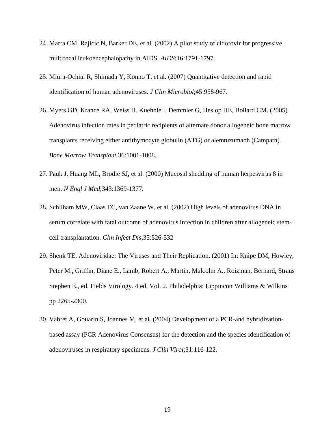- 24. Marra CM, Rajicic N, Barker DE, et al. (2002) A pilot study of cidofovir for progressive multifocal leukoencephalopathy in AIDS. *AIDS*;16:1791-1797.
- 25. Miura-Ochiai R, Shimada Y, Konno T, et al. (2007) Quantitative detection and rapid identification of human adenoviruses. *J Clin Microbiol*;45:958-967.
- 26. Myers GD, Krance RA, Weiss H, Kuehnle I, Demmler G, Heslop HE, Bollard CM. (2005) Adenovirus infection rates in pediatric recipients of alternate donor allogeneic bone marrow transplants receiving either antithymocyte globulin (ATG) or alemtuzumabh (Campath). *Bone Marrow Transplant* 36:1001-1008.
- 27. Pauk J, Huang ML, Brodie SJ, et al. (2000) Mucosal shedding of human herpesvirus 8 in men. *N Engl J Med*;343:1369-1377.
- 28. Schilham MW, Claas EC, van Zaane W, et al. (2002) High levels of adenovirus DNA in serum correlate with fatal outcome of adenovirus infection in children after allogeneic stemcell transplantation. *Clin Infect Dis*;35:526-532
- 29. Shenk TE. Adenoviridae: The Viruses and Their Replication. (2001) In: Knipe DM, Howley, Peter M., Griffin, Diane E., Lamb, Robert A., Martin, Malcolm A., Roizman, Bernard, Straus Stephen E., ed. Fields Virology. 4 ed. Vol. 2. Philadelphia: Lippincott Williams & Wilkins pp 2265-2300.
- 30. Vabret A, Gouarin S, Joannes M, et al. (2004) Development of a PCR-and hybridizationbased assay (PCR Adenovirus Consensus) for the detection and the species identification of adenoviruses in respiratory specimens. *J Clin Virol*;31:116-122.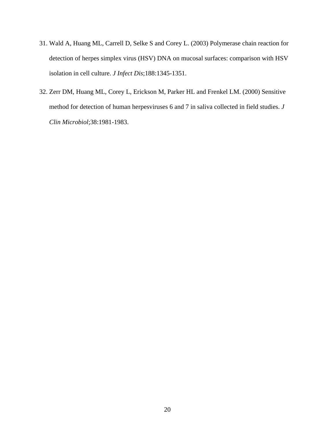- 31. Wald A, Huang ML, Carrell D, Selke S and Corey L. (2003) Polymerase chain reaction for detection of herpes simplex virus (HSV) DNA on mucosal surfaces: comparison with HSV isolation in cell culture. *J Infect Dis*;188:1345-1351.
- 32. Zerr DM, Huang ML, Corey L, Erickson M, Parker HL and Frenkel LM. (2000) Sensitive method for detection of human herpesviruses 6 and 7 in saliva collected in field studies. *J Clin Microbiol*;38:1981-1983.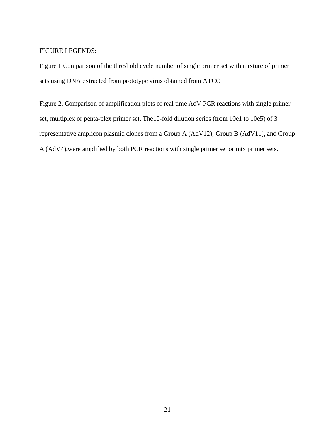#### FIGURE LEGENDS:

Figure 1 Comparison of the threshold cycle number of single primer set with mixture of primer sets using DNA extracted from prototype virus obtained from ATCC

Figure 2. Comparison of amplification plots of real time AdV PCR reactions with single primer set, multiplex or penta-plex primer set. The10-fold dilution series (from 10e1 to 10e5) of 3 representative amplicon plasmid clones from a Group A (AdV12); Group B (AdV11), and Group A (AdV4).were amplified by both PCR reactions with single primer set or mix primer sets.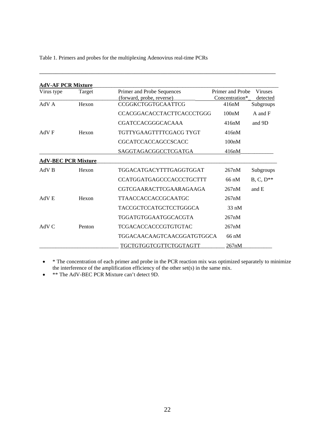Table 1. Primers and probes for the multiplexing Adenovirus real-time PCRs

| <b>AdV-AF PCR Mixture</b>  |        |                                                         |                                    |                                   |
|----------------------------|--------|---------------------------------------------------------|------------------------------------|-----------------------------------|
| Virus type<br>Target       |        | Primer and Probe Sequences<br>(forward, probe, reverse) | Primer and Probe<br>Concentration* | <b>Viruses</b><br><u>detected</u> |
| AdV A                      | Hexon  | <b>CCGGKCTGGTGCAATTCG</b>                               | 416nM                              | Subgroups                         |
|                            |        | <b>CCACGGACACCTACTTCACCCTGGG</b>                        | 100nM                              | A and F                           |
|                            |        | CGATCCACGGGCACAAA                                       | 416nM                              | and 9D                            |
| AdV F                      | Hexon  | TGTTYGAAGTTTTCGACG TYGT                                 | 416nM                              |                                   |
|                            |        | <b>CGCATCCACCAGCCSCACC</b>                              | 100nM                              |                                   |
|                            |        | SAGGTAGACGGCCTCGATGA                                    | 416nM                              |                                   |
| <b>AdV-BEC PCR Mixture</b> |        |                                                         |                                    |                                   |
| AdV B                      | Hexon  | TGGACATGACYTTTGAGGTGGAT                                 | 267nM                              | Subgroups                         |
|                            |        | <b>CCATGGATGAGCCCACCCTGCTTT</b>                         | $66 \text{ nM}$                    | $B, C, D^{**}$                    |
|                            |        | CGTCGAARACTTCGAARAGAAGA                                 | 267nM                              | and E                             |
| AdV E                      | Hexon  | TTAACCACCACCGCAATGC                                     | 267nM                              |                                   |
|                            |        | TACCGCTCCATGCTCCTGGGCA                                  | $33 \text{ nM}$                    |                                   |
|                            |        | TGGATGTGGAATGGCACGTA                                    | 267nM                              |                                   |
| AdV <sub>C</sub>           | Penton | TCGACACCACCCGTGTGTAC                                    | 267nM                              |                                   |
|                            |        | TGGACAACAAGTCAACGGATGTGGCA                              | 66 nM                              |                                   |
|                            |        | TGCTGTGGTCGTTCTGGTAGTT                                  | 267nM                              |                                   |

\_\_\_\_\_\_\_\_\_\_\_\_\_\_\_\_\_\_\_\_\_\_\_\_\_\_\_\_\_\_\_\_\_\_\_\_\_\_\_\_\_\_\_\_\_\_\_\_\_\_\_\_\_\_\_\_\_\_\_\_\_\_\_\_\_\_\_\_\_\_\_\_

• \* The concentration of each primer and probe in the PCR reaction mix was optimized separately to minimize the interference of the amplification efficiency of the other set(s) in the same mix.

• **\*\*** The AdV-BEC PCR Mixture can't detect 9D.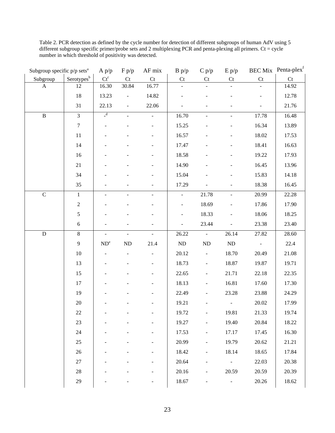Table 2. PCR detection as defined by the cycle number for detection of different subgroups of human AdV using 5 different subgroup specific primer/probe sets and 2 multiplexing PCR and penta-plexing all primers. Ct = cycle number in which threshold of positivity was detected.

| Subgroup specific $p/p$ sets <sup>a</sup> |                        | A p/p         | F p/p          | AF mix                   | B p/p                      | C p/p                    | E p/p     |                | BEC Mix Penta-plex <sup>f</sup> |
|-------------------------------------------|------------------------|---------------|----------------|--------------------------|----------------------------|--------------------------|-----------|----------------|---------------------------------|
| Subgroup                                  | Serotypes <sup>b</sup> | $Ct^c$        | Ct             | Ct                       | $\mathop{\rm Ct}\nolimits$ | Ct                       | Ct        | Ct             | Ct                              |
| $\mathbf{A}$                              | 12                     | 16.30         | 30.84          | 16.77                    |                            |                          |           |                | 14.92                           |
|                                           | 18                     | 13.23         |                | 14.82                    |                            |                          |           |                | 12.78                           |
|                                           | 31                     | 22.13         | $\blacksquare$ | 22.06                    |                            |                          |           |                | 21.76                           |
| $\, {\bf B}$                              | $\overline{3}$         | $\frac{d}{ }$ |                |                          | 16.70                      |                          |           | 17.78          | 16.48                           |
|                                           | $\boldsymbol{7}$       |               |                | $\overline{\phantom{a}}$ | 15.25                      |                          |           | 16.34          | 13.89                           |
|                                           | 11                     |               |                |                          | 16.57                      |                          |           | 18.02          | 17.53                           |
|                                           | 14                     |               |                |                          | 17.47                      |                          |           | 18.41          | 16.63                           |
|                                           | 16                     |               |                |                          | 18.58                      |                          |           | 19.22          | 17.93                           |
|                                           | 21                     |               |                |                          | 14.90                      |                          |           | 16.45          | 13.96                           |
|                                           | 34                     |               |                |                          | 15.04                      |                          |           | 15.83          | 14.18                           |
|                                           | 35                     |               |                |                          | 17.29                      |                          |           | 18.38          | 16.45                           |
| $\mathbf C$                               | $\mathbf{1}$           |               |                | $\overline{\phantom{a}}$ | $\blacksquare$             | 21.78                    |           | 20.99          | 22.28                           |
|                                           | $\sqrt{2}$             |               |                |                          | $\blacksquare$             | 18.69                    |           | 17.86          | 17.90                           |
|                                           | 5                      |               |                |                          |                            | 18.33                    |           | 18.06          | 18.25                           |
|                                           | $\sqrt{6}$             |               |                |                          | $\overline{a}$             | 23.44                    |           | 23.38          | 23.40                           |
| ${\bf D}$                                 | $\,8\,$                |               |                | $\equiv$                 | 26.22                      | $\blacksquare$           | 26.14     | 27.82          | 28.60                           |
|                                           | 9                      | $ND^e$        | ND             | 21.4                     | ${\rm ND}$                 | ND                       | <b>ND</b> | $\blacksquare$ | 22.4                            |
|                                           | $10\,$                 |               |                |                          | 20.12                      |                          | 18.70     | 20.49          | 21.08                           |
|                                           | 13                     |               |                |                          | 18.73                      | $\overline{\phantom{0}}$ | 18.87     | 19.87          | 19.71                           |
|                                           | 15                     |               |                |                          | 22.65                      |                          | 21.71     | 22.18          | 22.35                           |
|                                           | 17                     |               |                |                          | 18.13                      |                          | 16.81     | 17.60          | 17.30                           |
|                                           | 19                     |               |                |                          | 22.49                      |                          | 23.28     | 23.88          | 24.29                           |
|                                           | $20\,$                 |               |                |                          | 19.21                      |                          |           | 20.02          | 17.99                           |
|                                           | $22\,$                 |               |                |                          | 19.72                      | $\overline{\phantom{0}}$ | 19.81     | 21.33          | 19.74                           |
|                                           | $23\,$                 |               |                |                          | 19.27                      |                          | 19.40     | 20.84          | 18.22                           |
|                                           | 24                     |               |                |                          | 17.53                      | $\overline{\phantom{0}}$ | 17.17     | 17.45          | 16.30                           |
|                                           | $25\,$                 |               |                |                          | 20.99                      | $\overline{a}$           | 19.79     | 20.62          | 21.21                           |
|                                           | 26                     |               |                |                          | 18.42                      | $\overline{\phantom{0}}$ | 18.14     | 18.65          | 17.84                           |
|                                           | $27\,$                 |               |                |                          | 20.64                      |                          |           | 22.03          | 20.38                           |
|                                           | $28\,$                 |               |                |                          | 20.16                      |                          | 20.59     | 20.59          | 20.39                           |
|                                           | 29                     |               |                |                          | 18.67                      |                          |           | 20.26          | 18.62                           |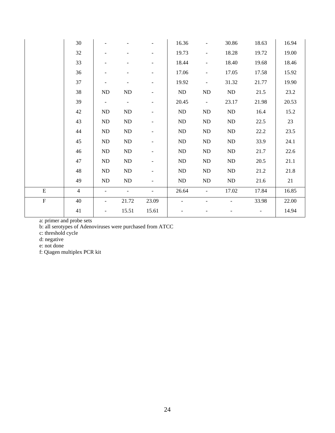|             | 30             |                          |                          |                          | 16.36      | $\blacksquare$               | 30.86    | 18.63                        | 16.94 |
|-------------|----------------|--------------------------|--------------------------|--------------------------|------------|------------------------------|----------|------------------------------|-------|
|             | 32             |                          |                          | $\overline{a}$           | 19.73      | $\qquad \qquad \blacksquare$ | 18.28    | 19.72                        | 19.00 |
|             | 33             |                          | $\overline{a}$           | ۰                        | 18.44      | $\qquad \qquad \blacksquare$ | 18.40    | 19.68                        | 18.46 |
|             | 36             |                          | $\overline{\phantom{a}}$ | $\overline{\phantom{a}}$ | 17.06      | $\blacksquare$               | 17.05    | 17.58                        | 15.92 |
|             | 37             | $\overline{\phantom{a}}$ | $\overline{\phantom{a}}$ | $\blacksquare$           | 19.92      | $\qquad \qquad \blacksquare$ | 31.32    | 21.77                        | 19.90 |
|             | 38             | $\rm ND$                 | ND                       | $\overline{\phantom{a}}$ | ND         | ND                           | ND       | 21.5                         | 23.2  |
|             | 39             | $\overline{\phantom{a}}$ | $\frac{1}{2}$            | ۰                        | 20.45      | $\blacksquare$               | 23.17    | 21.98                        | 20.53 |
|             | 42             | ND                       | ND                       | $\overline{\phantom{0}}$ | ${\rm ND}$ | ND                           | $\rm ND$ | 16.4                         | 15.2  |
|             | 43             | ND                       | $\rm ND$                 | $\overline{\phantom{a}}$ | $\rm ND$   | ND                           | $\rm ND$ | 22.5                         | 23    |
|             | 44             | ND                       | ND                       | $\overline{\phantom{0}}$ | $\rm ND$   | ND                           | ND       | 22.2                         | 23.5  |
|             | 45             | ND                       | ND                       | $\overline{\phantom{a}}$ | $\rm ND$   | ND                           | ND       | 33.9                         | 24.1  |
|             | 46             | ND                       | ND                       | $\overline{\phantom{a}}$ | ${\rm ND}$ | ND                           | ND       | 21.7                         | 22.6  |
|             | 47             | ND                       | $\rm ND$                 | $\overline{\phantom{a}}$ | $\rm ND$   | ND                           | ND       | 20.5                         | 21.1  |
|             | 48             | ND                       | ND                       | $\overline{\phantom{a}}$ | ${\rm ND}$ | ND                           | ND       | 21.2                         | 21.8  |
|             | 49             | ND                       | ND                       | $\overline{\phantom{m}}$ | $\rm ND$   | ND                           | ND       | 21.6                         | 21    |
| ${\bf E}$   | $\overline{4}$ |                          |                          |                          | 26.64      |                              | 17.02    | 17.84                        | 16.85 |
| $\mathbf F$ | 40             | $\overline{\phantom{a}}$ | 21.72                    | 23.09                    |            |                              |          | 33.98                        | 22.00 |
|             | 41             | $\overline{\phantom{a}}$ | 15.51                    | 15.61                    |            |                              |          | $\qquad \qquad \blacksquare$ | 14.94 |

a: primer and probe sets

b: all serotypes of Adenoviruses were purchased from ATCC

c: threshold cycle

d: negative

e: not done

f: Qiagen multiplex PCR kit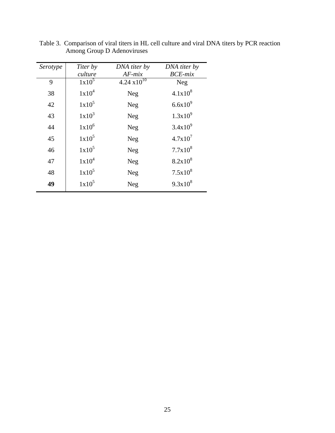| Serotype | Titer by          | DNA titer by          | DNA titer by  |
|----------|-------------------|-----------------------|---------------|
|          | culture           | $AF$ -mix             | $BCE$ - $mix$ |
| 9        | $1x10^5$          | $4.24 \times 10^{10}$ | <b>Neg</b>    |
| 38       | $1x10^4$          | Neg                   | $4.1x10^{8}$  |
| 42       | $1x10^5$          | Neg                   | $6.6x10^{9}$  |
| 43       | $1x10^3$          | Neg                   | $1.3x10^{9}$  |
| 44       | $1x10^6$          | Neg                   | $3.4x10^{9}$  |
| 45       | 1x10 <sup>5</sup> | Neg                   | $4.7x10^7$    |
| 46       | $1x10^5$          | Neg                   | $7.7x10^{8}$  |
| 47       | $1x10^4$          | Neg                   | $8.2x10^{8}$  |
| 48       | $1x10^5$          | Neg                   | $7.5x10^{8}$  |
| 49       | $1x10^5$          | Neg                   | $9.3x10^{8}$  |

Table 3. Comparison of viral titers in HL cell culture and viral DNA titers by PCR reaction Among Group D Adenoviruses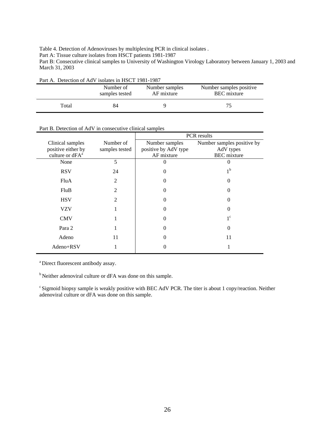Table 4. Detection of Adenoviruses by multiplexing PCR in clinical isolates .

Part A: Tissue culture isolates from HSCT patients 1981-1987

Part B: Consecutive clinical samples to University of Washington Virology Laboratory between January 1, 2003 and March 31, 2003

| Part A. Detection of AdV isolates in HSCT 1981-1987 |                             |                              |                                               |  |  |  |
|-----------------------------------------------------|-----------------------------|------------------------------|-----------------------------------------------|--|--|--|
|                                                     | Number of<br>samples tested | Number samples<br>AF mixture | Number samples positive<br><b>BEC</b> mixture |  |  |  |
| Total                                               | 84                          |                              | 75                                            |  |  |  |

| Part B. Detection of AdV in consecutive clinical samples |
|----------------------------------------------------------|

|                             |                          | PCR results          |                            |  |  |
|-----------------------------|--------------------------|----------------------|----------------------------|--|--|
| Clinical samples            | Number of                | Number samples       | Number samples positive by |  |  |
| positive either by          | samples tested           | positive by AdV type | AdV types                  |  |  |
| culture or dFA <sup>a</sup> |                          | AF mixture           | <b>BEC</b> mixture         |  |  |
| None                        | 5                        | 0                    | $\theta$                   |  |  |
| <b>RSV</b>                  | 24                       | $\theta$             | 1 <sup>b</sup>             |  |  |
| FluA                        | 2                        | $\theta$             | 0                          |  |  |
| FluB                        | $\overline{\mathcal{L}}$ | 0                    | 0                          |  |  |
| <b>HSV</b>                  | 2                        | $\theta$             | 0                          |  |  |
| <b>VZV</b>                  | 1                        | $\theta$             | 0                          |  |  |
| <b>CMV</b>                  |                          | $\theta$             | $1^{\circ}$                |  |  |
| Para 2                      |                          | 0                    | 0                          |  |  |
| Adeno                       | 11                       | 0                    | 11                         |  |  |
| Adeno+RSV                   |                          | 0                    |                            |  |  |

a Direct fluorescent antibody assay.

b Neither adenoviral culture or dFA was done on this sample.

<sup>c</sup> Sigmoid biopsy sample is weakly positive with BEC AdV PCR. The titer is about 1 copy/reaction. Neither adenoviral culture or dFA was done on this sample.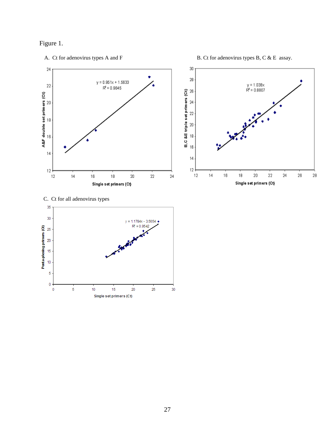



A. Ct for adenovirus types A and F B. Ct for adenovirus types B, C & E assay.